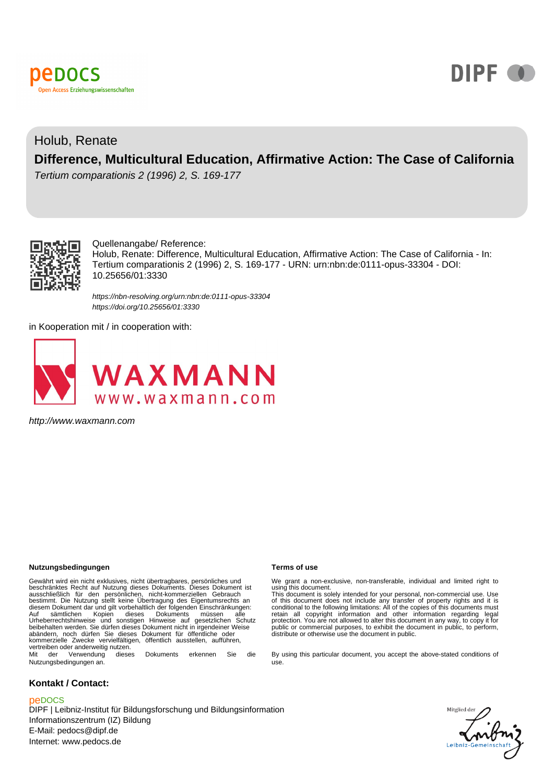



# Holub, Renate **Difference, Multicultural Education, Affirmative Action: The Case of California**

Tertium comparationis 2 (1996) 2, S. 169-177



Quellenangabe/ Reference:

Holub, Renate: Difference, Multicultural Education, Affirmative Action: The Case of California - In: Tertium comparationis 2 (1996) 2, S. 169-177 - URN: urn:nbn:de:0111-opus-33304 - DOI: 10.25656/01:3330

<https://nbn-resolving.org/urn:nbn:de:0111-opus-33304> <https://doi.org/10.25656/01:3330>

in Kooperation mit / in cooperation with:



http://www.waxmann.com

#### **Nutzungsbedingungen Terms of use**

Gewährt wird ein nicht exklusives, nicht übertragbares, persönliches und<br>beschränktes Recht auf Nutzung dieses Dokuments. Dieses Dokument ist<br>ausschließlich für den persönlichen, nicht-kommerziellen Gebrauch<br>bestimmt. Die Auf sämtlichen Kopien dieses Dokuments müssen alle Urheberrechtshinweise und sonstigen Hinweise auf gesetzlichen Schutz beibehalten werden. Sie dürfen dieses Dokument nicht in irgendeiner Weise abändern, noch dürfen Sie dieses Dokument für öffentliche oder kommerzielle Zwecke vervielfältigen, öffentlich ausstellen, aufführen, vertreiben oder anderweitig nutzen. Mit der Verwendung dieses Dokuments erkennen Sie die

Nutzungsbedingungen an.

#### **Kontakt / Contact:**

#### peDOCS

DIPF | Leibniz-Institut für Bildungsforschung und Bildungsinformation Informationszentrum (IZ) Bildung E-Mail: pedocs@dipf.de Internet: www.pedocs.de

We grant a non-exclusive, non-transferable, individual and limited right to<br>using this document.<br>This document is solely intended for your personal, non-commercial use. Use<br>of this document does not include any transfer of

By using this particular document, you accept the above-stated conditions of use.

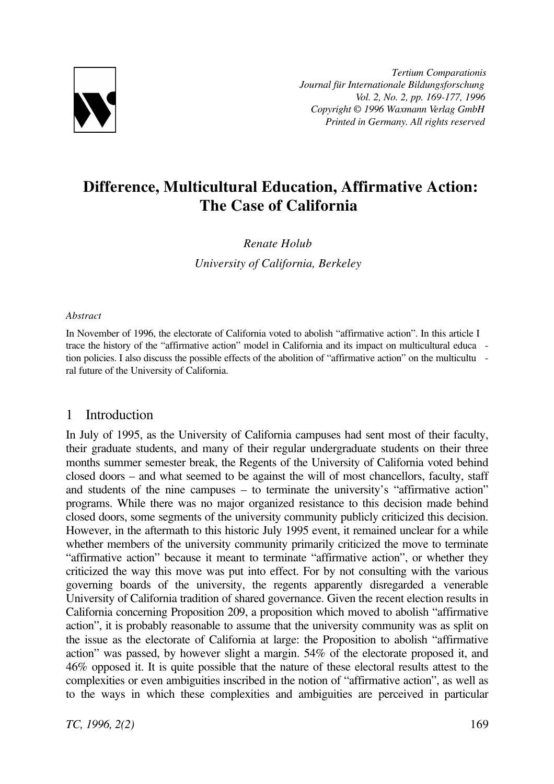

*Tertium Comparationis Journal für Internationale Bildungsforschung Vol. 2, No. 2, pp. 169-177, 1996 Copyright © 1996 Waxmann Verlag GmbH Printed in Germany. All rights reserved*

# **Difference, Multicultural Education, Affirmative Action: The Case of California**

## *Renate Holub*

*University of California, Berkeley*

### *Abstract*

In November of 1996, the electorate of California voted to abolish "affirmative action". In this article I trace the history of the "affirmative action" model in California and its impact on multicultural educa tion policies. I also discuss the possible effects of the abolition of "affirmative action" on the multicultu ral future of the University of California.

## 1 Introduction

In July of 1995, as the University of California campuses had sent most of their faculty, their graduate students, and many of their regular undergraduate students on their three months summer semester break, the Regents of the University of California voted behind closed doors – and what seemed to be against the will of most chancellors, faculty, staff and students of the nine campuses – to terminate the university's "affirmative action" programs. While there was no major organized resistance to this decision made behind closed doors, some segments of the university community publicly criticized this decision. However, in the aftermath to this historic July 1995 event, it remained unclear for a while whether members of the university community primarily criticized the move to terminate "affirmative action" because it meant to terminate "affirmative action", or whether they criticized the way this move was put into effect. For by not consulting with the various governing boards of the university, the regents apparently disregarded a venerable University of California tradition of shared governance. Given the recent election results in California concerning Proposition 209, a proposition which moved to abolish "affirmative action", it is probably reasonable to assume that the university community was as split on the issue as the electorate of California at large: the Proposition to abolish "affirmative action" was passed, by however slight a margin. 54% of the electorate proposed it, and 46% opposed it. It is quite possible that the nature of these electoral results attest to the complexities or even ambiguities inscribed in the notion of "affirmative action", as well as to the ways in which these complexities and ambiguities are perceived in particular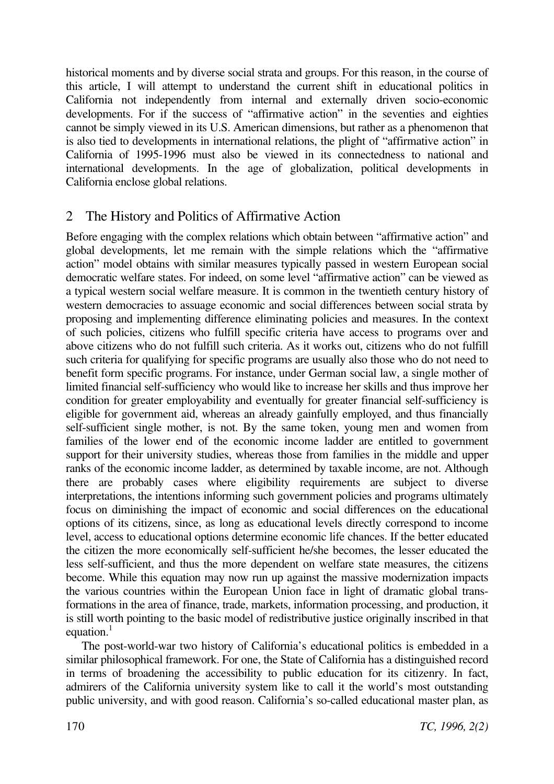historical moments and by diverse social strata and groups. For this reason, in the course of this article, I will attempt to understand the current shift in educational politics in California not independently from internal and externally driven socio-economic developments. For if the success of "affirmative action" in the seventies and eighties cannot be simply viewed in its U.S. American dimensions, but rather as a phenomenon that is also tied to developments in international relations, the plight of "affirmative action" in California of 1995-1996 must also be viewed in its connectedness to national and international developments. In the age of globalization, political developments in California enclose global relations.

# 2 The History and Politics of Affirmative Action

Before engaging with the complex relations which obtain between "affirmative action" and global developments, let me remain with the simple relations which the "affirmative action" model obtains with similar measures typically passed in western European social democratic welfare states. For indeed, on some level "affirmative action" can be viewed as a typical western social welfare measure. It is common in the twentieth century history of western democracies to assuage economic and social differences between social strata by proposing and implementing difference eliminating policies and measures. In the context of such policies, citizens who fulfill specific criteria have access to programs over and above citizens who do not fulfill such criteria. As it works out, citizens who do not fulfill such criteria for qualifying for specific programs are usually also those who do not need to benefit form specific programs. For instance, under German social law, a single mother of limited financial self-sufficiency who would like to increase her skills and thus improve her condition for greater employability and eventually for greater financial self-sufficiency is eligible for government aid, whereas an already gainfully employed, and thus financially self-sufficient single mother, is not. By the same token, young men and women from families of the lower end of the economic income ladder are entitled to government support for their university studies, whereas those from families in the middle and upper ranks of the economic income ladder, as determined by taxable income, are not. Although there are probably cases where eligibility requirements are subject to diverse interpretations, the intentions informing such government policies and programs ultimately focus on diminishing the impact of economic and social differences on the educational options of its citizens, since, as long as educational levels directly correspond to income level, access to educational options determine economic life chances. If the better educated the citizen the more economically self-sufficient he/she becomes, the lesser educated the less self-sufficient, and thus the more dependent on welfare state measures, the citizens become. While this equation may now run up against the massive modernization impacts the various countries within the European Union face in light of dramatic global transformations in the area of finance, trade, markets, information processing, and production, it is still worth pointing to the basic model of redistributive justice originally inscribed in that equation. $<sup>1</sup>$ </sup>

The post-world-war two history of California's educational politics is embedded in a similar philosophical framework. For one, the State of California has a distinguished record in terms of broadening the accessibility to public education for its citizenry. In fact, admirers of the California university system like to call it the world's most outstanding public university, and with good reason. California's so-called educational master plan, as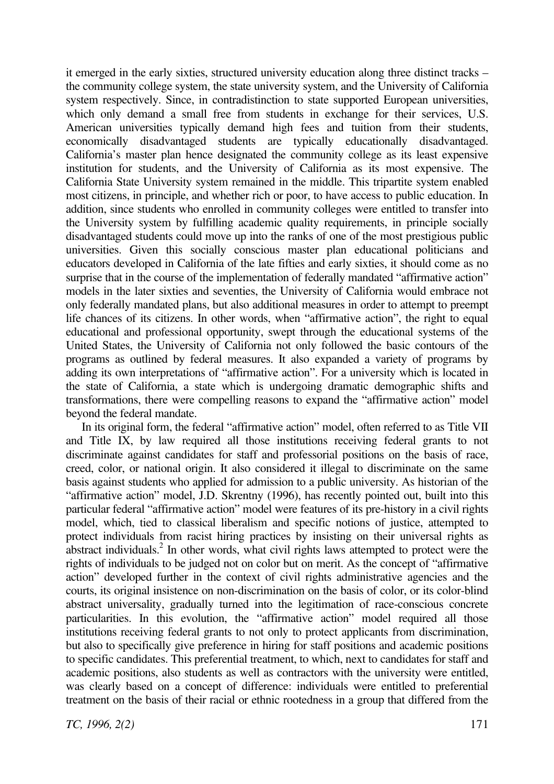it emerged in the early sixties, structured university education along three distinct tracks – the community college system, the state university system, and the University of California system respectively. Since, in contradistinction to state supported European universities, which only demand a small free from students in exchange for their services, U.S. American universities typically demand high fees and tuition from their students, economically disadvantaged students are typically educationally disadvantaged. California's master plan hence designated the community college as its least expensive institution for students, and the University of California as its most expensive. The California State University system remained in the middle. This tripartite system enabled most citizens, in principle, and whether rich or poor, to have access to public education. In addition, since students who enrolled in community colleges were entitled to transfer into the University system by fulfilling academic quality requirements, in principle socially disadvantaged students could move up into the ranks of one of the most prestigious public universities. Given this socially conscious master plan educational politicians and educators developed in California of the late fifties and early sixties, it should come as no surprise that in the course of the implementation of federally mandated "affirmative action" models in the later sixties and seventies, the University of California would embrace not only federally mandated plans, but also additional measures in order to attempt to preempt life chances of its citizens. In other words, when "affirmative action", the right to equal educational and professional opportunity, swept through the educational systems of the United States, the University of California not only followed the basic contours of the programs as outlined by federal measures. It also expanded a variety of programs by adding its own interpretations of "affirmative action". For a university which is located in the state of California, a state which is undergoing dramatic demographic shifts and transformations, there were compelling reasons to expand the "affirmative action" model beyond the federal mandate.

In its original form, the federal "affirmative action" model, often referred to as Title VII and Title IX, by law required all those institutions receiving federal grants to not discriminate against candidates for staff and professorial positions on the basis of race, creed, color, or national origin. It also considered it illegal to discriminate on the same basis against students who applied for admission to a public university. As historian of the "affirmative action" model, J.D. Skrentny (1996), has recently pointed out, built into this particular federal "affirmative action" model were features of its pre-history in a civil rights model, which, tied to classical liberalism and specific notions of justice, attempted to protect individuals from racist hiring practices by insisting on their universal rights as abstract individuals.<sup>2</sup> In other words, what civil rights laws attempted to protect were the rights of individuals to be judged not on color but on merit. As the concept of "affirmative action" developed further in the context of civil rights administrative agencies and the courts, its original insistence on non-discrimination on the basis of color, or its color-blind abstract universality, gradually turned into the legitimation of race-conscious concrete particularities. In this evolution, the "affirmative action" model required all those institutions receiving federal grants to not only to protect applicants from discrimination, but also to specifically give preference in hiring for staff positions and academic positions to specific candidates. This preferential treatment, to which, next to candidates for staff and academic positions, also students as well as contractors with the university were entitled, was clearly based on a concept of difference: individuals were entitled to preferential treatment on the basis of their racial or ethnic rootedness in a group that differed from the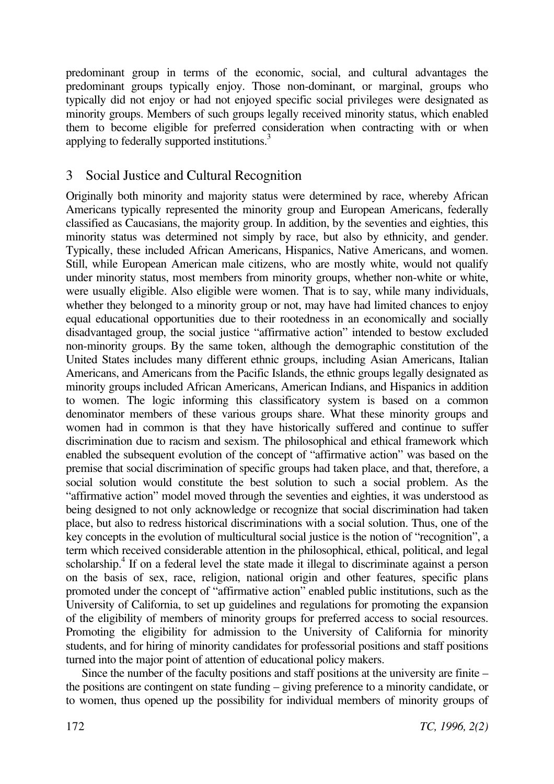predominant group in terms of the economic, social, and cultural advantages the predominant groups typically enjoy. Those non-dominant, or marginal, groups who typically did not enjoy or had not enjoyed specific social privileges were designated as minority groups. Members of such groups legally received minority status, which enabled them to become eligible for preferred consideration when contracting with or when applying to federally supported institutions.<sup>3</sup>

# 3 Social Justice and Cultural Recognition

Originally both minority and majority status were determined by race, whereby African Americans typically represented the minority group and European Americans, federally classified as Caucasians, the majority group. In addition, by the seventies and eighties, this minority status was determined not simply by race, but also by ethnicity, and gender. Typically, these included African Americans, Hispanics, Native Americans, and women. Still, while European American male citizens, who are mostly white, would not qualify under minority status, most members from minority groups, whether non-white or white, were usually eligible. Also eligible were women. That is to say, while many individuals, whether they belonged to a minority group or not, may have had limited chances to enjoy equal educational opportunities due to their rootedness in an economically and socially disadvantaged group, the social justice "affirmative action" intended to bestow excluded non-minority groups. By the same token, although the demographic constitution of the United States includes many different ethnic groups, including Asian Americans, Italian Americans, and Americans from the Pacific Islands, the ethnic groups legally designated as minority groups included African Americans, American Indians, and Hispanics in addition to women. The logic informing this classificatory system is based on a common denominator members of these various groups share. What these minority groups and women had in common is that they have historically suffered and continue to suffer discrimination due to racism and sexism. The philosophical and ethical framework which enabled the subsequent evolution of the concept of "affirmative action" was based on the premise that social discrimination of specific groups had taken place, and that, therefore, a social solution would constitute the best solution to such a social problem. As the "affirmative action" model moved through the seventies and eighties, it was understood as being designed to not only acknowledge or recognize that social discrimination had taken place, but also to redress historical discriminations with a social solution. Thus, one of the key concepts in the evolution of multicultural social justice is the notion of "recognition", a term which received considerable attention in the philosophical, ethical, political, and legal scholarship.<sup>4</sup> If on a federal level the state made it illegal to discriminate against a person on the basis of sex, race, religion, national origin and other features, specific plans promoted under the concept of "affirmative action" enabled public institutions, such as the University of California, to set up guidelines and regulations for promoting the expansion of the eligibility of members of minority groups for preferred access to social resources. Promoting the eligibility for admission to the University of California for minority students, and for hiring of minority candidates for professorial positions and staff positions turned into the major point of attention of educational policy makers.

Since the number of the faculty positions and staff positions at the university are finite – the positions are contingent on state funding – giving preference to a minority candidate, or to women, thus opened up the possibility for individual members of minority groups of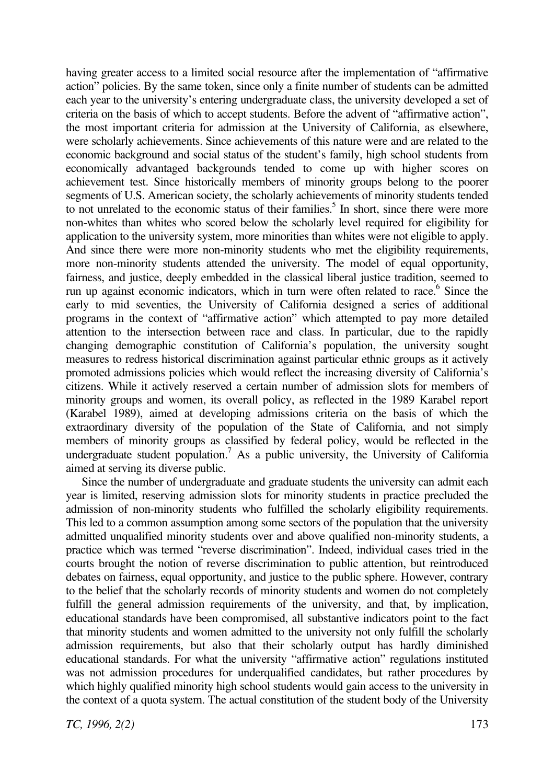having greater access to a limited social resource after the implementation of "affirmative action" policies. By the same token, since only a finite number of students can be admitted each year to the university's entering undergraduate class, the university developed a set of criteria on the basis of which to accept students. Before the advent of "affirmative action", the most important criteria for admission at the University of California, as elsewhere, were scholarly achievements. Since achievements of this nature were and are related to the economic background and social status of the student's family, high school students from economically advantaged backgrounds tended to come up with higher scores on achievement test. Since historically members of minority groups belong to the poorer segments of U.S. American society, the scholarly achievements of minority students tended to not unrelated to the economic status of their families.<sup>5</sup> In short, since there were more non-whites than whites who scored below the scholarly level required for eligibility for application to the university system, more minorities than whites were not eligible to apply. And since there were more non-minority students who met the eligibility requirements, more non-minority students attended the university. The model of equal opportunity, fairness, and justice, deeply embedded in the classical liberal justice tradition, seemed to run up against economic indicators, which in turn were often related to race.<sup>6</sup> Since the early to mid seventies, the University of California designed a series of additional programs in the context of "affirmative action" which attempted to pay more detailed attention to the intersection between race and class. In particular, due to the rapidly changing demographic constitution of California's population, the university sought measures to redress historical discrimination against particular ethnic groups as it actively promoted admissions policies which would reflect the increasing diversity of California's citizens. While it actively reserved a certain number of admission slots for members of minority groups and women, its overall policy, as reflected in the 1989 Karabel report (Karabel 1989), aimed at developing admissions criteria on the basis of which the extraordinary diversity of the population of the State of California, and not simply members of minority groups as classified by federal policy, would be reflected in the undergraduate student population.<sup>7</sup> As a public university, the University of California aimed at serving its diverse public.

Since the number of undergraduate and graduate students the university can admit each year is limited, reserving admission slots for minority students in practice precluded the admission of non-minority students who fulfilled the scholarly eligibility requirements. This led to a common assumption among some sectors of the population that the university admitted unqualified minority students over and above qualified non-minority students, a practice which was termed "reverse discrimination". Indeed, individual cases tried in the courts brought the notion of reverse discrimination to public attention, but reintroduced debates on fairness, equal opportunity, and justice to the public sphere. However, contrary to the belief that the scholarly records of minority students and women do not completely fulfill the general admission requirements of the university, and that, by implication, educational standards have been compromised, all substantive indicators point to the fact that minority students and women admitted to the university not only fulfill the scholarly admission requirements, but also that their scholarly output has hardly diminished educational standards. For what the university "affirmative action" regulations instituted was not admission procedures for underqualified candidates, but rather procedures by which highly qualified minority high school students would gain access to the university in the context of a quota system. The actual constitution of the student body of the University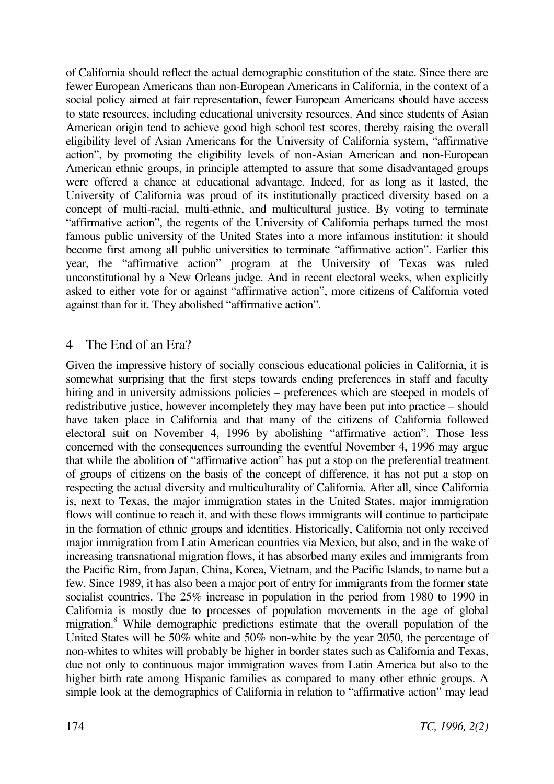of California should reflect the actual demographic constitution of the state. Since there are fewer European Americans than non-European Americans in California, in the context of a social policy aimed at fair representation, fewer European Americans should have access to state resources, including educational university resources. And since students of Asian American origin tend to achieve good high school test scores, thereby raising the overall eligibility level of Asian Americans for the University of California system, "affirmative action", by promoting the eligibility levels of non-Asian American and non-European American ethnic groups, in principle attempted to assure that some disadvantaged groups were offered a chance at educational advantage. Indeed, for as long as it lasted, the University of California was proud of its institutionally practiced diversity based on a concept of multi-racial, multi-ethnic, and multicultural justice. By voting to terminate "affirmative action", the regents of the University of California perhaps turned the most famous public university of the United States into a more infamous institution: it should become first among all public universities to terminate "affirmative action". Earlier this year, the "affirmative action" program at the University of Texas was ruled unconstitutional by a New Orleans judge. And in recent electoral weeks, when explicitly asked to either vote for or against "affirmative action", more citizens of California voted against than for it. They abolished "affirmative action".

# 4 The End of an Era?

Given the impressive history of socially conscious educational policies in California, it is somewhat surprising that the first steps towards ending preferences in staff and faculty hiring and in university admissions policies – preferences which are steeped in models of redistributive justice, however incompletely they may have been put into practice – should have taken place in California and that many of the citizens of California followed electoral suit on November 4, 1996 by abolishing "affirmative action". Those less concerned with the consequences surrounding the eventful November 4, 1996 may argue that while the abolition of "affirmative action" has put a stop on the preferential treatment of groups of citizens on the basis of the concept of difference, it has not put a stop on respecting the actual diversity and multiculturality of California. After all, since California is, next to Texas, the major immigration states in the United States, major immigration flows will continue to reach it, and with these flows immigrants will continue to participate in the formation of ethnic groups and identities. Historically, California not only received major immigration from Latin American countries via Mexico, but also, and in the wake of increasing transnational migration flows, it has absorbed many exiles and immigrants from the Pacific Rim, from Japan, China, Korea, Vietnam, and the Pacific Islands, to name but a few. Since 1989, it has also been a major port of entry for immigrants from the former state socialist countries. The 25% increase in population in the period from 1980 to 1990 in California is mostly due to processes of population movements in the age of global migration.<sup>8</sup> While demographic predictions estimate that the overall population of the United States will be 50% white and 50% non-white by the year 2050, the percentage of non-whites to whites will probably be higher in border states such as California and Texas, due not only to continuous major immigration waves from Latin America but also to the higher birth rate among Hispanic families as compared to many other ethnic groups. A simple look at the demographics of California in relation to "affirmative action" may lead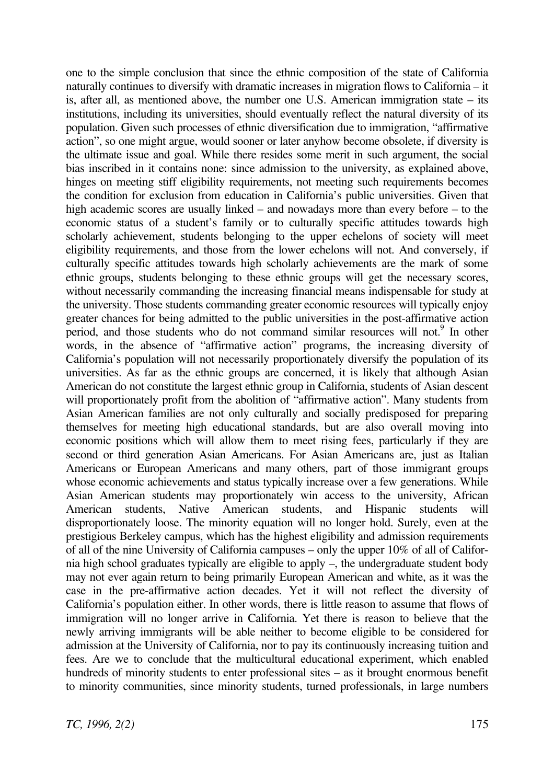one to the simple conclusion that since the ethnic composition of the state of California naturally continues to diversify with dramatic increases in migration flows to California – it is, after all, as mentioned above, the number one U.S. American immigration state – its institutions, including its universities, should eventually reflect the natural diversity of its population. Given such processes of ethnic diversification due to immigration, "affirmative action", so one might argue, would sooner or later anyhow become obsolete, if diversity is the ultimate issue and goal. While there resides some merit in such argument, the social bias inscribed in it contains none: since admission to the university, as explained above, hinges on meeting stiff eligibility requirements, not meeting such requirements becomes the condition for exclusion from education in California's public universities. Given that high academic scores are usually linked – and nowadays more than every before – to the economic status of a student's family or to culturally specific attitudes towards high scholarly achievement, students belonging to the upper echelons of society will meet eligibility requirements, and those from the lower echelons will not. And conversely, if culturally specific attitudes towards high scholarly achievements are the mark of some ethnic groups, students belonging to these ethnic groups will get the necessary scores, without necessarily commanding the increasing financial means indispensable for study at the university. Those students commanding greater economic resources will typically enjoy greater chances for being admitted to the public universities in the post-affirmative action period, and those students who do not command similar resources will not.<sup>9</sup> In other words, in the absence of "affirmative action" programs, the increasing diversity of California's population will not necessarily proportionately diversify the population of its universities. As far as the ethnic groups are concerned, it is likely that although Asian American do not constitute the largest ethnic group in California, students of Asian descent will proportionately profit from the abolition of "affirmative action". Many students from Asian American families are not only culturally and socially predisposed for preparing themselves for meeting high educational standards, but are also overall moving into economic positions which will allow them to meet rising fees, particularly if they are second or third generation Asian Americans. For Asian Americans are, just as Italian Americans or European Americans and many others, part of those immigrant groups whose economic achievements and status typically increase over a few generations. While Asian American students may proportionately win access to the university, African American students, Native American students, and Hispanic students will disproportionately loose. The minority equation will no longer hold. Surely, even at the prestigious Berkeley campus, which has the highest eligibility and admission requirements of all of the nine University of California campuses – only the upper 10% of all of California high school graduates typically are eligible to apply –, the undergraduate student body may not ever again return to being primarily European American and white, as it was the case in the pre-affirmative action decades. Yet it will not reflect the diversity of California's population either. In other words, there is little reason to assume that flows of immigration will no longer arrive in California. Yet there is reason to believe that the newly arriving immigrants will be able neither to become eligible to be considered for admission at the University of California, nor to pay its continuously increasing tuition and fees. Are we to conclude that the multicultural educational experiment, which enabled hundreds of minority students to enter professional sites – as it brought enormous benefit to minority communities, since minority students, turned professionals, in large numbers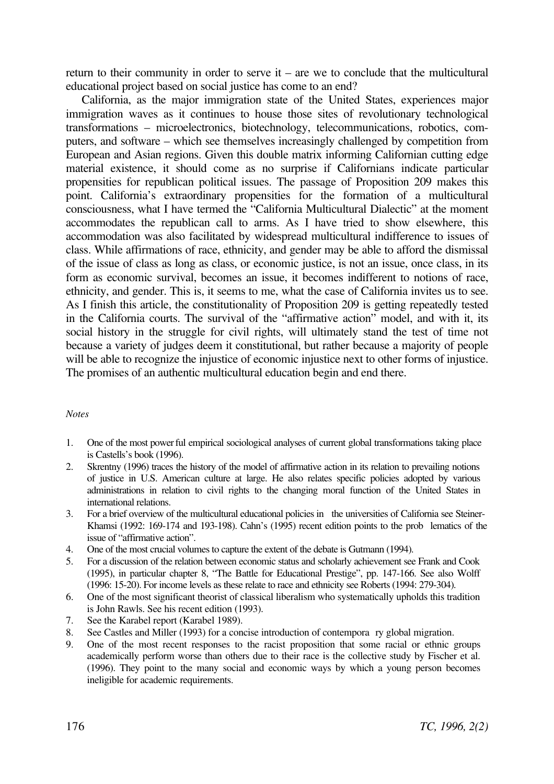return to their community in order to serve it – are we to conclude that the multicultural educational project based on social justice has come to an end?

California, as the major immigration state of the United States, experiences major immigration waves as it continues to house those sites of revolutionary technological transformations – microelectronics, biotechnology, telecommunications, robotics, computers, and software – which see themselves increasingly challenged by competition from European and Asian regions. Given this double matrix informing Californian cutting edge material existence, it should come as no surprise if Californians indicate particular propensities for republican political issues. The passage of Proposition 209 makes this point. California's extraordinary propensities for the formation of a multicultural consciousness, what I have termed the "California Multicultural Dialectic" at the moment accommodates the republican call to arms. As I have tried to show elsewhere, this accommodation was also facilitated by widespread multicultural indifference to issues of class. While affirmations of race, ethnicity, and gender may be able to afford the dismissal of the issue of class as long as class, or economic justice, is not an issue, once class, in its form as economic survival, becomes an issue, it becomes indifferent to notions of race, ethnicity, and gender. This is, it seems to me, what the case of California invites us to see. As I finish this article, the constitutionality of Proposition 209 is getting repeatedly tested in the California courts. The survival of the "affirmative action" model, and with it, its social history in the struggle for civil rights, will ultimately stand the test of time not because a variety of judges deem it constitutional, but rather because a majority of people will be able to recognize the injustice of economic injustice next to other forms of injustice. The promises of an authentic multicultural education begin and end there.

#### *Notes*

- 1. One of the most power ful empirical sociological analyses of current global transformations taking place is Castells's book (1996).
- 2. Skrentny (1996) traces the history of the model of affirmative action in its relation to prevailing notions of justice in U.S. American culture at large. He also relates specific policies adopted by various administrations in relation to civil rights to the changing moral function of the United States in international relations.
- 3. For a brief overview of the multicultural educational policies in the universities of California see Steiner-Khamsi (1992: 169-174 and 193-198). Cahn's (1995) recent edition points to the prob lematics of the issue of "affirmative action".
- 4. One of the most crucial volumes to capture the extent of the debate is Gutmann (1994).
- 5. For a discussion of the relation between economic status and scholarly achievement see Frank and Cook (1995), in particular chapter 8, "The Battle for Educational Prestige", pp. 147-166. See also Wolff (1996: 15-20). For income levels as these relate to race and ethnicity see Roberts (1994: 279-304).
- 6. One of the most significant theorist of classical liberalism who systematically upholds this tradition is John Rawls. See his recent edition (1993).
- 7. See the Karabel report (Karabel 1989).
- 8. See Castles and Miller (1993) for a concise introduction of contempora ry global migration.
- 9. One of the most recent responses to the racist proposition that some racial or ethnic groups academically perform worse than others due to their race is the collective study by Fischer et al. (1996). They point to the many social and economic ways by which a young person becomes ineligible for academic requirements.